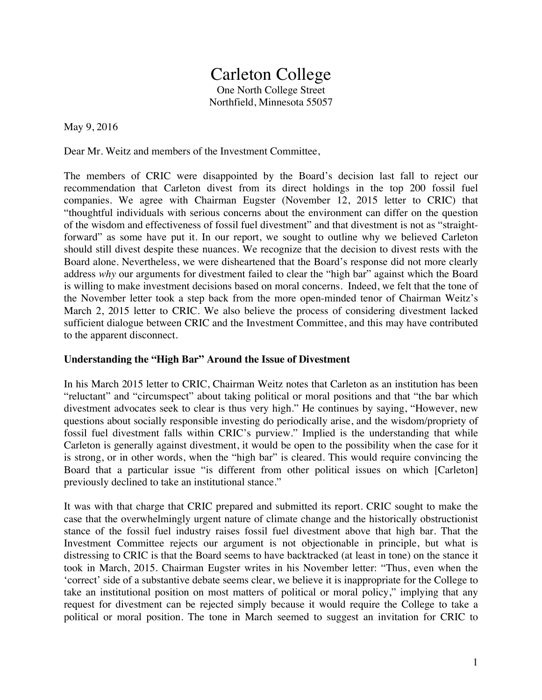# Carleton College

One North College Street Northfield, Minnesota 55057

May 9, 2016

Dear Mr. Weitz and members of the Investment Committee,

The members of CRIC were disappointed by the Board's decision last fall to reject our recommendation that Carleton divest from its direct holdings in the top 200 fossil fuel companies. We agree with Chairman Eugster (November 12, 2015 letter to CRIC) that "thoughtful individuals with serious concerns about the environment can differ on the question of the wisdom and effectiveness of fossil fuel divestment" and that divestment is not as "straightforward" as some have put it. In our report, we sought to outline why we believed Carleton should still divest despite these nuances. We recognize that the decision to divest rests with the Board alone. Nevertheless, we were disheartened that the Board's response did not more clearly address *why* our arguments for divestment failed to clear the "high bar" against which the Board is willing to make investment decisions based on moral concerns. Indeed, we felt that the tone of the November letter took a step back from the more open-minded tenor of Chairman Weitz's March 2, 2015 letter to CRIC. We also believe the process of considering divestment lacked sufficient dialogue between CRIC and the Investment Committee, and this may have contributed to the apparent disconnect.

## **Understanding the "High Bar" Around the Issue of Divestment**

In his March 2015 letter to CRIC, Chairman Weitz notes that Carleton as an institution has been "reluctant" and "circumspect" about taking political or moral positions and that "the bar which divestment advocates seek to clear is thus very high." He continues by saying, "However, new questions about socially responsible investing do periodically arise, and the wisdom/propriety of fossil fuel divestment falls within CRIC's purview." Implied is the understanding that while Carleton is generally against divestment, it would be open to the possibility when the case for it is strong, or in other words, when the "high bar" is cleared. This would require convincing the Board that a particular issue "is different from other political issues on which [Carleton] previously declined to take an institutional stance."

It was with that charge that CRIC prepared and submitted its report. CRIC sought to make the case that the overwhelmingly urgent nature of climate change and the historically obstructionist stance of the fossil fuel industry raises fossil fuel divestment above that high bar. That the Investment Committee rejects our argument is not objectionable in principle, but what is distressing to CRIC is that the Board seems to have backtracked (at least in tone) on the stance it took in March, 2015. Chairman Eugster writes in his November letter: "Thus, even when the 'correct' side of a substantive debate seems clear, we believe it is inappropriate for the College to take an institutional position on most matters of political or moral policy," implying that any request for divestment can be rejected simply because it would require the College to take a political or moral position. The tone in March seemed to suggest an invitation for CRIC to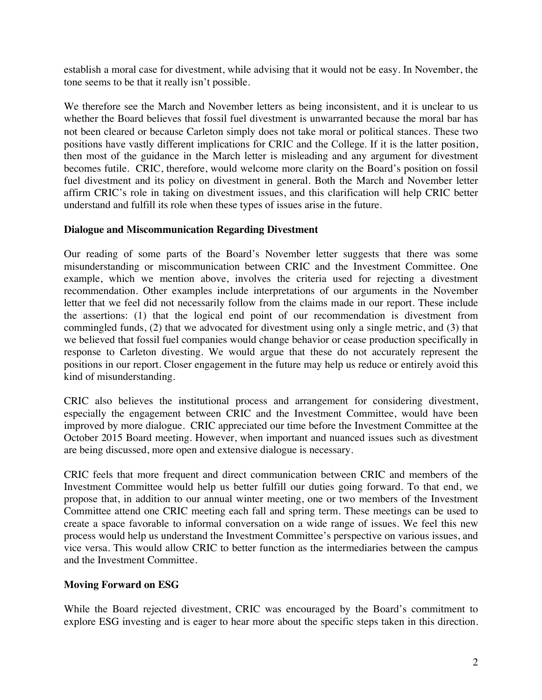establish a moral case for divestment, while advising that it would not be easy. In November, the tone seems to be that it really isn't possible.

We therefore see the March and November letters as being inconsistent, and it is unclear to us whether the Board believes that fossil fuel divestment is unwarranted because the moral bar has not been cleared or because Carleton simply does not take moral or political stances. These two positions have vastly different implications for CRIC and the College. If it is the latter position, then most of the guidance in the March letter is misleading and any argument for divestment becomes futile. CRIC, therefore, would welcome more clarity on the Board's position on fossil fuel divestment and its policy on divestment in general. Both the March and November letter affirm CRIC's role in taking on divestment issues, and this clarification will help CRIC better understand and fulfill its role when these types of issues arise in the future.

### **Dialogue and Miscommunication Regarding Divestment**

Our reading of some parts of the Board's November letter suggests that there was some misunderstanding or miscommunication between CRIC and the Investment Committee. One example, which we mention above, involves the criteria used for rejecting a divestment recommendation. Other examples include interpretations of our arguments in the November letter that we feel did not necessarily follow from the claims made in our report. These include the assertions: (1) that the logical end point of our recommendation is divestment from commingled funds, (2) that we advocated for divestment using only a single metric, and (3) that we believed that fossil fuel companies would change behavior or cease production specifically in response to Carleton divesting. We would argue that these do not accurately represent the positions in our report. Closer engagement in the future may help us reduce or entirely avoid this kind of misunderstanding.

CRIC also believes the institutional process and arrangement for considering divestment, especially the engagement between CRIC and the Investment Committee, would have been improved by more dialogue. CRIC appreciated our time before the Investment Committee at the October 2015 Board meeting. However, when important and nuanced issues such as divestment are being discussed, more open and extensive dialogue is necessary.

CRIC feels that more frequent and direct communication between CRIC and members of the Investment Committee would help us better fulfill our duties going forward. To that end, we propose that, in addition to our annual winter meeting, one or two members of the Investment Committee attend one CRIC meeting each fall and spring term. These meetings can be used to create a space favorable to informal conversation on a wide range of issues. We feel this new process would help us understand the Investment Committee's perspective on various issues, and vice versa. This would allow CRIC to better function as the intermediaries between the campus and the Investment Committee.

## **Moving Forward on ESG**

While the Board rejected divestment, CRIC was encouraged by the Board's commitment to explore ESG investing and is eager to hear more about the specific steps taken in this direction.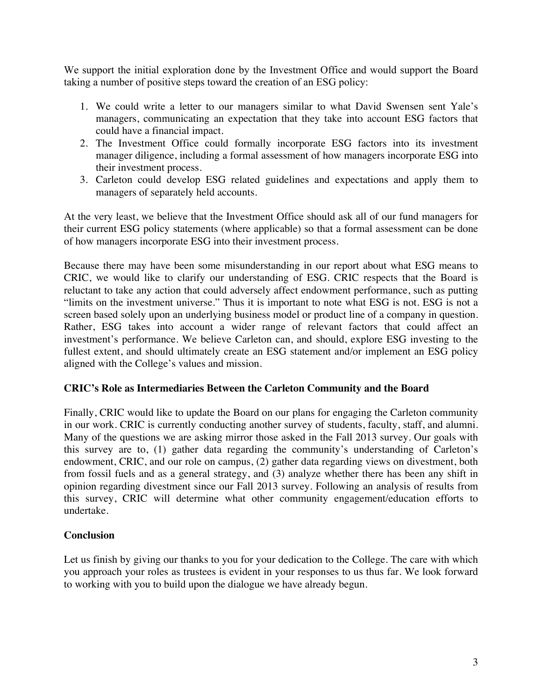We support the initial exploration done by the Investment Office and would support the Board taking a number of positive steps toward the creation of an ESG policy:

- 1. We could write a letter to our managers similar to what David Swensen sent Yale's managers, communicating an expectation that they take into account ESG factors that could have a financial impact.
- 2. The Investment Office could formally incorporate ESG factors into its investment manager diligence, including a formal assessment of how managers incorporate ESG into their investment process.
- 3. Carleton could develop ESG related guidelines and expectations and apply them to managers of separately held accounts.

At the very least, we believe that the Investment Office should ask all of our fund managers for their current ESG policy statements (where applicable) so that a formal assessment can be done of how managers incorporate ESG into their investment process.

Because there may have been some misunderstanding in our report about what ESG means to CRIC, we would like to clarify our understanding of ESG. CRIC respects that the Board is reluctant to take any action that could adversely affect endowment performance, such as putting "limits on the investment universe." Thus it is important to note what ESG is not. ESG is not a screen based solely upon an underlying business model or product line of a company in question. Rather, ESG takes into account a wider range of relevant factors that could affect an investment's performance. We believe Carleton can, and should, explore ESG investing to the fullest extent, and should ultimately create an ESG statement and/or implement an ESG policy aligned with the College's values and mission.

## **CRIC's Role as Intermediaries Between the Carleton Community and the Board**

Finally, CRIC would like to update the Board on our plans for engaging the Carleton community in our work. CRIC is currently conducting another survey of students, faculty, staff, and alumni. Many of the questions we are asking mirror those asked in the Fall 2013 survey. Our goals with this survey are to, (1) gather data regarding the community's understanding of Carleton's endowment, CRIC, and our role on campus, (2) gather data regarding views on divestment, both from fossil fuels and as a general strategy, and (3) analyze whether there has been any shift in opinion regarding divestment since our Fall 2013 survey. Following an analysis of results from this survey, CRIC will determine what other community engagement/education efforts to undertake.

## **Conclusion**

Let us finish by giving our thanks to you for your dedication to the College. The care with which you approach your roles as trustees is evident in your responses to us thus far. We look forward to working with you to build upon the dialogue we have already begun.